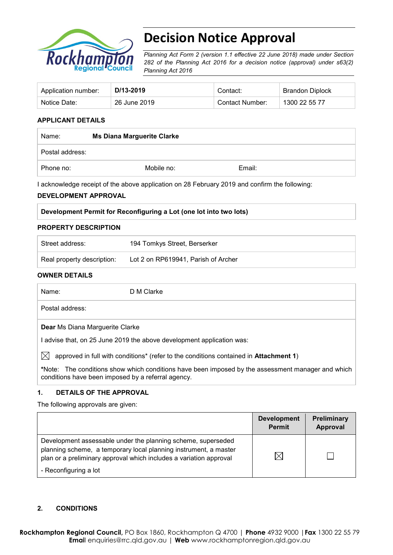

# **Decision Notice Approval**

*Planning Act Form 2 (version 1.1 effective 22 June 2018) made under Section 282 of the Planning Act 2016 for a decision notice (approval) under s63(2) Planning Act 2016*

| Application number: | D/13-2019    | Contact:        | Brandon Diplock |
|---------------------|--------------|-----------------|-----------------|
| Notice Date:        | 26 June 2019 | Contact Number: | 1300 22 55 77   |

#### **APPLICANT DETAILS**

| Name:           | <b>Ms Diana Marguerite Clarke</b> |        |  |
|-----------------|-----------------------------------|--------|--|
| Postal address: |                                   |        |  |
| Phone no:       | Mobile no:                        | Email: |  |

I acknowledge receipt of the above application on 28 February 2019 and confirm the following:

#### **DEVELOPMENT APPROVAL**

| Development Permit for Reconfiguring a Lot (one lot into two lots) |
|--------------------------------------------------------------------|
|--------------------------------------------------------------------|

#### **PROPERTY DESCRIPTION**

| Street address:            | 194 Tomkys Street, Berserker        |
|----------------------------|-------------------------------------|
| Real property description: | Lot 2 on RP619941, Parish of Archer |

#### **OWNER DETAILS**

Name: D M Clarke

Postal address:

**Dear** Ms Diana Marguerite Clarke

I advise that, on 25 June 2019 the above development application was:

 $\bowtie$  approved in full with conditions<sup>\*</sup> (refer to the conditions contained in **Attachment 1**)

**\***Note:The conditions show which conditions have been imposed by the assessment manager and which conditions have been imposed by a referral agency.

#### **1. DETAILS OF THE APPROVAL**

The following approvals are given:

|                                                                                                                                                                                                        | <b>Development</b><br><b>Permit</b> | Preliminary<br>Approval |
|--------------------------------------------------------------------------------------------------------------------------------------------------------------------------------------------------------|-------------------------------------|-------------------------|
| Development assessable under the planning scheme, superseded<br>planning scheme, a temporary local planning instrument, a master<br>plan or a preliminary approval which includes a variation approval | $\times$                            |                         |
| - Reconfiguring a lot                                                                                                                                                                                  |                                     |                         |

#### **2. CONDITIONS**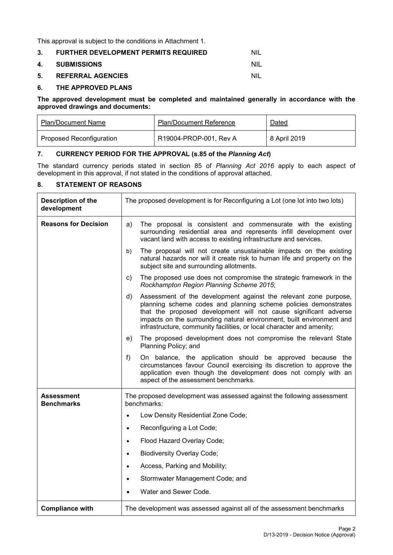This approval is subject to the conditions in Attachment 1.

| $3_{-}$ | <b>FURTHER DEVELOPMENT PERMITS REQUIRED</b> | -NIL  |
|---------|---------------------------------------------|-------|
|         | 4. SUBMISSIONS                              | - NIL |
| 5.      | <b>REFERRAL AGENCIES</b>                    | NIL   |

#### **6. THE APPROVED PLANS**

**The approved development must be completed and maintained generally in accordance with the approved drawings and documents:**

| Plan/Document Name       | <b>Plan/Document Reference</b> | Dated        |
|--------------------------|--------------------------------|--------------|
| Proposed Reconfiguration | R19004-PROP-001, Rev A         | 8 April 2019 |

### **7. CURRENCY PERIOD FOR THE APPROVAL (s.85 of the** *Planning Act***)**

The standard currency periods stated in section 85 of *Planning Act 2016* apply to each aspect of development in this approval, if not stated in the conditions of approval attached.

#### **8. STATEMENT OF REASONS**

| <b>Description of the</b><br>development | The proposed development is for Reconfiguring a Lot (one lot into two lots)                                                                                                                                                                                                                                                                                     |  |
|------------------------------------------|-----------------------------------------------------------------------------------------------------------------------------------------------------------------------------------------------------------------------------------------------------------------------------------------------------------------------------------------------------------------|--|
| <b>Reasons for Decision</b>              | The proposal is consistent and commensurate with the existing<br>a)<br>surrounding residential area and represents infill development over<br>vacant land with access to existing infrastructure and services.                                                                                                                                                  |  |
|                                          | The proposal will not create unsustainable impacts on the existing<br>b)<br>natural hazards nor will it create risk to human life and property on the<br>subject site and surrounding allotments.                                                                                                                                                               |  |
|                                          | The proposed use does not compromise the strategic framework in the<br>C)<br>Rockhampton Region Planning Scheme 2015;                                                                                                                                                                                                                                           |  |
|                                          | Assessment of the development against the relevant zone purpose,<br>d)<br>planning scheme codes and planning scheme policies demonstrates<br>that the proposed development will not cause significant adverse<br>impacts on the surrounding natural environment, built environment and<br>infrastructure, community facilities, or local character and amenity; |  |
|                                          | The proposed development does not compromise the relevant State<br>e)<br>Planning Policy; and                                                                                                                                                                                                                                                                   |  |
|                                          | On balance, the application should be approved because the<br>f)<br>circumstances favour Council exercising its discretion to approve the<br>application even though the development does not comply with an<br>aspect of the assessment benchmarks.                                                                                                            |  |
| Assessment<br><b>Benchmarks</b>          | The proposed development was assessed against the following assessment<br>benchmarks:                                                                                                                                                                                                                                                                           |  |
|                                          | Low Density Residential Zone Code;                                                                                                                                                                                                                                                                                                                              |  |
|                                          | Reconfiguring a Lot Code;<br>$\bullet$                                                                                                                                                                                                                                                                                                                          |  |
|                                          | Flood Hazard Overlay Code;<br>$\bullet$                                                                                                                                                                                                                                                                                                                         |  |
|                                          | <b>Biodiversity Overlay Code;</b><br>$\bullet$                                                                                                                                                                                                                                                                                                                  |  |
|                                          | Access, Parking and Mobility;<br>$\bullet$                                                                                                                                                                                                                                                                                                                      |  |
|                                          | Stormwater Management Code; and<br>$\bullet$                                                                                                                                                                                                                                                                                                                    |  |
|                                          | Water and Sewer Code.                                                                                                                                                                                                                                                                                                                                           |  |
| <b>Compliance with</b>                   | The development was assessed against all of the assessment benchmarks                                                                                                                                                                                                                                                                                           |  |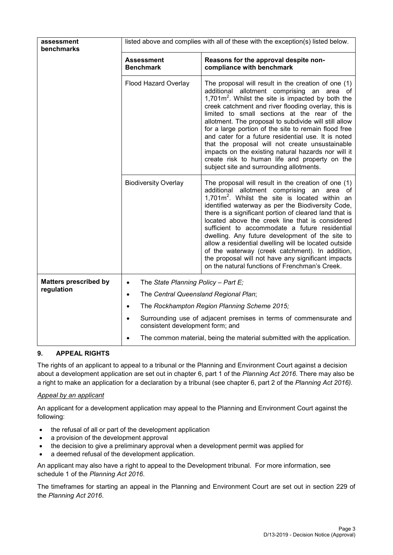| assessment<br>benchmarks     | listed above and complies with all of these with the exception(s) listed below. |                                                                                                                                                                                                                                                                                                                                                                                                                                                                                                                                                                                                                                                      |  |  |
|------------------------------|---------------------------------------------------------------------------------|------------------------------------------------------------------------------------------------------------------------------------------------------------------------------------------------------------------------------------------------------------------------------------------------------------------------------------------------------------------------------------------------------------------------------------------------------------------------------------------------------------------------------------------------------------------------------------------------------------------------------------------------------|--|--|
|                              | <b>Assessment</b><br><b>Benchmark</b>                                           | Reasons for the approval despite non-<br>compliance with benchmark                                                                                                                                                                                                                                                                                                                                                                                                                                                                                                                                                                                   |  |  |
|                              | Flood Hazard Overlay                                                            | The proposal will result in the creation of one (1)<br>additional allotment comprising an area of<br>1,701 $m2$ . Whilst the site is impacted by both the<br>creek catchment and river flooding overlay, this is<br>limited to small sections at the rear of the<br>allotment. The proposal to subdivide will still allow<br>for a large portion of the site to remain flood free<br>and cater for a future residential use. It is noted<br>that the proposal will not create unsustainable<br>impacts on the existing natural hazards nor will it<br>create risk to human life and property on the<br>subject site and surrounding allotments.      |  |  |
|                              | <b>Biodiversity Overlay</b>                                                     | The proposal will result in the creation of one (1)<br>additional allotment comprising an<br>area of<br>1,701 $m^2$ . Whilst the site is located within an<br>identified waterway as per the Biodiversity Code,<br>there is a significant portion of cleared land that is<br>located above the creek line that is considered<br>sufficient to accommodate a future residential<br>dwelling. Any future development of the site to<br>allow a residential dwelling will be located outside<br>of the waterway (creek catchment). In addition,<br>the proposal will not have any significant impacts<br>on the natural functions of Frenchman's Creek. |  |  |
| <b>Matters prescribed by</b> | The State Planning Policy - Part E;<br>$\bullet$                                |                                                                                                                                                                                                                                                                                                                                                                                                                                                                                                                                                                                                                                                      |  |  |
| regulation                   | The Central Queensland Regional Plan;<br>$\bullet$                              |                                                                                                                                                                                                                                                                                                                                                                                                                                                                                                                                                                                                                                                      |  |  |
|                              | The Rockhampton Region Planning Scheme 2015;<br>$\bullet$                       |                                                                                                                                                                                                                                                                                                                                                                                                                                                                                                                                                                                                                                                      |  |  |
|                              | $\bullet$<br>consistent development form; and                                   | Surrounding use of adjacent premises in terms of commensurate and                                                                                                                                                                                                                                                                                                                                                                                                                                                                                                                                                                                    |  |  |
|                              | The common material, being the material submitted with the application.         |                                                                                                                                                                                                                                                                                                                                                                                                                                                                                                                                                                                                                                                      |  |  |

## **9. APPEAL RIGHTS**

The rights of an applicant to appeal to a tribunal or the Planning and Environment Court against a decision about a development application are set out in chapter 6, part 1 of the *Planning Act 2016*. There may also be a right to make an application for a declaration by a tribunal (see chapter 6, part 2 of the *Planning Act 2016).*

## *Appeal by an applicant*

An applicant for a development application may appeal to the Planning and Environment Court against the following:

- the refusal of all or part of the development application
- a provision of the development approval
- the decision to give a preliminary approval when a development permit was applied for
- a deemed refusal of the development application.

An applicant may also have a right to appeal to the Development tribunal. For more information, see schedule 1 of the *Planning Act 2016*.

The timeframes for starting an appeal in the Planning and Environment Court are set out in section 229 of the *Planning Act 2016*.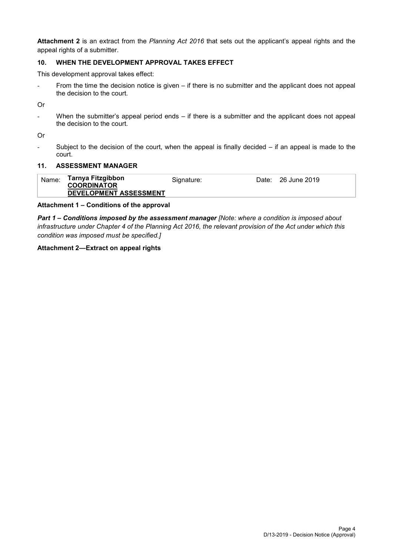**Attachment 2** is an extract from the *Planning Act 2016* that sets out the applicant's appeal rights and the appeal rights of a submitter.

## **10. WHEN THE DEVELOPMENT APPROVAL TAKES EFFECT**

This development approval takes effect:

- From the time the decision notice is given – if there is no submitter and the applicant does not appeal the decision to the court.

Or

When the submitter's appeal period ends – if there is a submitter and the applicant does not appeal the decision to the court.

Or

- Subject to the decision of the court, when the appeal is finally decided – if an appeal is made to the court.

#### **11. ASSESSMENT MANAGER**

| Name: | Tarnya Fitzgibbon<br><b>COORDINATOR</b> | Signature: | Date: | 26 June 2019 |
|-------|-----------------------------------------|------------|-------|--------------|
|       | DEVELOPMENT ASSESSMENT                  |            |       |              |

#### **Attachment 1 – Conditions of the approval**

*Part 1* **–** *Conditions imposed by the assessment manager [Note: where a condition is imposed about infrastructure under Chapter 4 of the Planning Act 2016, the relevant provision of the Act under which this condition was imposed must be specified.]*

#### **Attachment 2—Extract on appeal rights**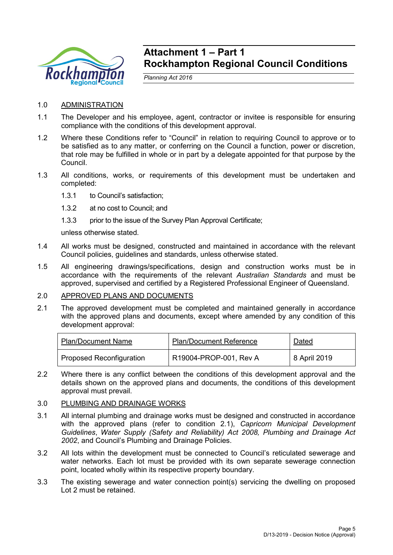

## **Attachment 1 – Part 1 Rockhampton Regional Council Conditions**

*Planning Act 2016*

- 1.0 ADMINISTRATION
- 1.1 The Developer and his employee, agent, contractor or invitee is responsible for ensuring compliance with the conditions of this development approval.
- 1.2 Where these Conditions refer to "Council" in relation to requiring Council to approve or to be satisfied as to any matter, or conferring on the Council a function, power or discretion, that role may be fulfilled in whole or in part by a delegate appointed for that purpose by the Council.
- 1.3 All conditions, works, or requirements of this development must be undertaken and completed:
	- 1.3.1 to Council's satisfaction;
	- 1.3.2 at no cost to Council; and
	- 1.3.3 prior to the issue of the Survey Plan Approval Certificate;

unless otherwise stated.

- 1.4 All works must be designed, constructed and maintained in accordance with the relevant Council policies, guidelines and standards, unless otherwise stated.
- 1.5 All engineering drawings/specifications, design and construction works must be in accordance with the requirements of the relevant *Australian Standards* and must be approved, supervised and certified by a Registered Professional Engineer of Queensland.
- 2.0 APPROVED PLANS AND DOCUMENTS
- 2.1 The approved development must be completed and maintained generally in accordance with the approved plans and documents, except where amended by any condition of this development approval:

| <b>Plan/Document Name</b>       | <b>Plan/Document Reference</b> | <b>Dated</b> |
|---------------------------------|--------------------------------|--------------|
| <b>Proposed Reconfiguration</b> | R19004-PROP-001, Rev A         | 8 April 2019 |

2.2 Where there is any conflict between the conditions of this development approval and the details shown on the approved plans and documents, the conditions of this development approval must prevail.

## 3.0 PLUMBING AND DRAINAGE WORKS

- 3.1 All internal plumbing and drainage works must be designed and constructed in accordance with the approved plans (refer to condition 2.1), *Capricorn Municipal Development Guidelines*, *Water Supply (Safety and Reliability) Act 2008, Plumbing and Drainage Act 2002*, and Council's Plumbing and Drainage Policies.
- 3.2 All lots within the development must be connected to Council's reticulated sewerage and water networks. Each lot must be provided with its own separate sewerage connection point, located wholly within its respective property boundary.
- 3.3 The existing sewerage and water connection point(s) servicing the dwelling on proposed Lot 2 must be retained.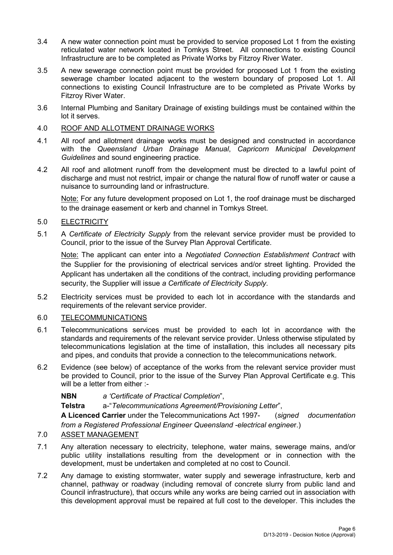- 3.4 A new water connection point must be provided to service proposed Lot 1 from the existing reticulated water network located in Tomkys Street. All connections to existing Council Infrastructure are to be completed as Private Works by Fitzroy River Water.
- 3.5 A new sewerage connection point must be provided for proposed Lot 1 from the existing sewerage chamber located adjacent to the western boundary of proposed Lot 1. All connections to existing Council Infrastructure are to be completed as Private Works by Fitzroy River Water.
- 3.6 Internal Plumbing and Sanitary Drainage of existing buildings must be contained within the lot it serves.
- 4.0 ROOF AND ALLOTMENT DRAINAGE WORKS
- 4.1 All roof and allotment drainage works must be designed and constructed in accordance with the *Queensland Urban Drainage Manual*, *Capricorn Municipal Development Guidelines* and sound engineering practice.
- 4.2 All roof and allotment runoff from the development must be directed to a lawful point of discharge and must not restrict, impair or change the natural flow of runoff water or cause a nuisance to surrounding land or infrastructure.

Note: For any future development proposed on Lot 1, the roof drainage must be discharged to the drainage easement or kerb and channel in Tomkys Street.

## 5.0 ELECTRICITY

5.1 A *Certificate of Electricity Supply* from the relevant service provider must be provided to Council, prior to the issue of the Survey Plan Approval Certificate.

Note: The applicant can enter into a *Negotiated Connection Establishment Contract* with the Supplier for the provisioning of electrical services and/or street lighting. Provided the Applicant has undertaken all the conditions of the contract, including providing performance security, the Supplier will issue *a Certificate of Electricity Supply*.

5.2 Electricity services must be provided to each lot in accordance with the standards and requirements of the relevant service provider.

#### 6.0 TELECOMMUNICATIONS

- 6.1 Telecommunications services must be provided to each lot in accordance with the standards and requirements of the relevant service provider. Unless otherwise stipulated by telecommunications legislation at the time of installation, this includes all necessary pits and pipes, and conduits that provide a connection to the telecommunications network.
- 6.2 Evidence (see below) of acceptance of the works from the relevant service provider must be provided to Council, prior to the issue of the Survey Plan Approval Certificate e.g. This will be a letter from either :-

**NBN** *a 'Certificate of Practical Completion*",

**Telstra** a-"*Telecommunications Agreement/Provisioning Letter*",

**A Licenced Carrier** under the Telecommunications Act 1997- (*signed documentation from a Registered Professional Engineer Queensland -electrical enginee*r.)

## 7.0 ASSET MANAGEMENT

- 7.1 Any alteration necessary to electricity, telephone, water mains, sewerage mains, and/or public utility installations resulting from the development or in connection with the development, must be undertaken and completed at no cost to Council.
- 7.2 Any damage to existing stormwater, water supply and sewerage infrastructure, kerb and channel, pathway or roadway (including removal of concrete slurry from public land and Council infrastructure), that occurs while any works are being carried out in association with this development approval must be repaired at full cost to the developer. This includes the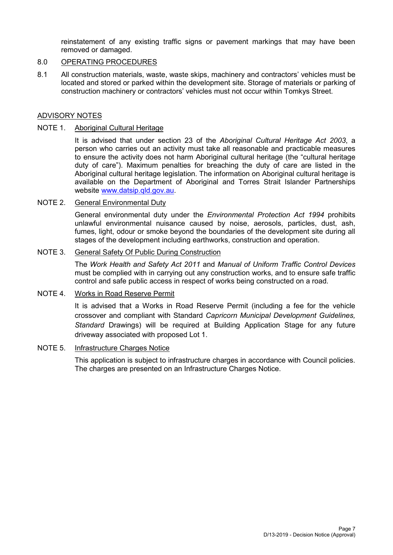reinstatement of any existing traffic signs or pavement markings that may have been removed or damaged.

### 8.0 OPERATING PROCEDURES

8.1 All construction materials, waste, waste skips, machinery and contractors' vehicles must be located and stored or parked within the development site. Storage of materials or parking of construction machinery or contractors' vehicles must not occur within Tomkys Street.

#### ADVISORY NOTES

#### NOTE 1. Aboriginal Cultural Heritage

It is advised that under section 23 of the *Aboriginal Cultural Heritage Act 2003*, a person who carries out an activity must take all reasonable and practicable measures to ensure the activity does not harm Aboriginal cultural heritage (the "cultural heritage duty of care"). Maximum penalties for breaching the duty of care are listed in the Aboriginal cultural heritage legislation. The information on Aboriginal cultural heritage is available on the Department of Aboriginal and Torres Strait Islander Partnerships website [www.datsip.qld.gov.au.](http://www.datsip.qld.gov.au/)

#### NOTE 2. General Environmental Duty

General environmental duty under the *Environmental Protection Act 1994* prohibits unlawful environmental nuisance caused by noise, aerosols, particles, dust, ash, fumes, light, odour or smoke beyond the boundaries of the development site during all stages of the development including earthworks, construction and operation.

#### NOTE 3. General Safety Of Public During Construction

The *Work Health and Safety Act 2011* and *Manual of Uniform Traffic Control Devices* must be complied with in carrying out any construction works, and to ensure safe traffic control and safe public access in respect of works being constructed on a road.

#### NOTE 4. Works in Road Reserve Permit

It is advised that a Works in Road Reserve Permit (including a fee for the vehicle crossover and compliant with Standard *Capricorn Municipal Development Guidelines, Standard* Drawings) will be required at Building Application Stage for any future driveway associated with proposed Lot 1.

#### NOTE 5. Infrastructure Charges Notice

This application is subject to infrastructure charges in accordance with Council policies. The charges are presented on an Infrastructure Charges Notice.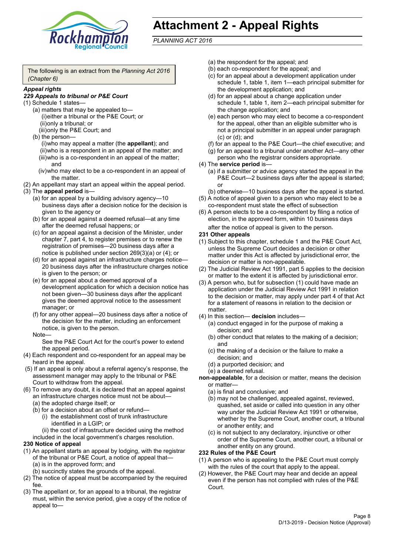

# **Attachment 2 - Appeal Rights**

*PLANNING ACT 2016*

The following is an extract from the *Planning Act 2016 (Chapter 6)*

#### *Appeal rights*

#### *229 Appeals to tribunal or P&E Court*

- (1) Schedule 1 states—
	- (a) matters that may be appealed to— (i)either a tribunal or the P&E Court; or (ii)only a tribunal; or (iii)only the P&E Court; and
	- (b) the person—

(i)who may appeal a matter (the **appellant**); and (ii)who is a respondent in an appeal of the matter; and (iii)who is a co-respondent in an appeal of the matter; and

- (iv)who may elect to be a co-respondent in an appeal of the matter.
- (2) An appellant may start an appeal within the appeal period.
- (3) The **appeal period** is—
	- (a) for an appeal by a building advisory agency—10 business days after a decision notice for the decision is given to the agency or
	- (b) for an appeal against a deemed refusal—at any time after the deemed refusal happens; or
	- (c) for an appeal against a decision of the Minister, under chapter 7, part 4, to register premises or to renew the registration of premises—20 business days after a notice is published under section 269(3)(a) or (4); or
	- (d) for an appeal against an infrastructure charges notice— 20 business days after the infrastructure charges notice is given to the person; or
	- (e) for an appeal about a deemed approval of a development application for which a decision notice has not been given—30 business days after the applicant gives the deemed approval notice to the assessment manager; or
	- (f) for any other appeal—20 business days after a notice of the decision for the matter, including an enforcement notice, is given to the person.

#### Note—

See the P&E Court Act for the court's power to extend the appeal period.

- (4) Each respondent and co-respondent for an appeal may be heard in the appeal.
- (5) If an appeal is only about a referral agency's response, the assessment manager may apply to the tribunal or P&E Court to withdraw from the appeal.
- (6) To remove any doubt, it is declared that an appeal against an infrastructure charges notice must not be about—
	- (a) the adopted charge itself; or
	- (b) for a decision about an offset or refund—
		- (i) the establishment cost of trunk infrastructure identified in a LGIP; or
		- (ii) the cost of infrastructure decided using the method

included in the local government's charges resolution.

- **230 Notice of appeal**
- (1) An appellant starts an appeal by lodging, with the registrar of the tribunal or P&E Court, a notice of appeal that—
	- (a) is in the approved form; and
	- (b) succinctly states the grounds of the appeal.
- (2) The notice of appeal must be accompanied by the required fee.
- (3) The appellant or, for an appeal to a tribunal, the registrar must, within the service period, give a copy of the notice of appeal to—
- (a) the respondent for the appeal; and
- (b) each co-respondent for the appeal; and
- (c) for an appeal about a development application under schedule 1, table 1, item 1—each principal submitter for the development application; and
- (d) for an appeal about a change application under schedule 1, table 1, item 2—each principal submitter for the change application; and
- (e) each person who may elect to become a co-respondent for the appeal, other than an eligible submitter who is not a principal submitter in an appeal under paragraph (c) or (d); and
- (f) for an appeal to the P&E Court—the chief executive; and
- (g) for an appeal to a tribunal under another Act—any other person who the registrar considers appropriate.
- (4) The **service period** is—
	- (a) if a submitter or advice agency started the appeal in the P&E Court—2 business days after the appeal is started; or
	- (b) otherwise—10 business days after the appeal is started.
- (5) A notice of appeal given to a person who may elect to be a co-respondent must state the effect of subsection
- (6) A person elects to be a co-respondent by filing a notice of election, in the approved form, within 10 business days after the notice of appeal is given to the person*.*
- **231 Other appeals**
- (1) Subject to this chapter, schedule 1 and the P&E Court Act, unless the Supreme Court decides a decision or other matter under this Act is affected by jurisdictional error, the decision or matter is non-appealable.
- (2) The Judicial Review Act 1991, part 5 applies to the decision or matter to the extent it is affected by jurisdictional error.
- (3) A person who, but for subsection (1) could have made an application under the Judicial Review Act 1991 in relation to the decision or matter, may apply under part 4 of that Act for a statement of reasons in relation to the decision or matter.
- (4) In this section— **decision** includes—
	- (a) conduct engaged in for the purpose of making a decision; and
	- (b) other conduct that relates to the making of a decision; and
	- (c) the making of a decision or the failure to make a decision; and
	- (d) a purported decision; and
	- (e) a deemed refusal.
- **non-appealable**, for a decision or matter, means the decision or matter—
	- (a) is final and conclusive; and
	- (b) may not be challenged, appealed against, reviewed, quashed, set aside or called into question in any other way under the Judicial Review Act 1991 or otherwise, whether by the Supreme Court, another court, a tribunal or another entity; and
	- (c) is not subject to any declaratory, injunctive or other order of the Supreme Court, another court, a tribunal or another entity on any ground.

#### **232 Rules of the P&E Court**

- (1) A person who is appealing to the P&E Court must comply with the rules of the court that apply to the appeal.
- (2) However, the P&E Court may hear and decide an appeal even if the person has not complied with rules of the P&E Court.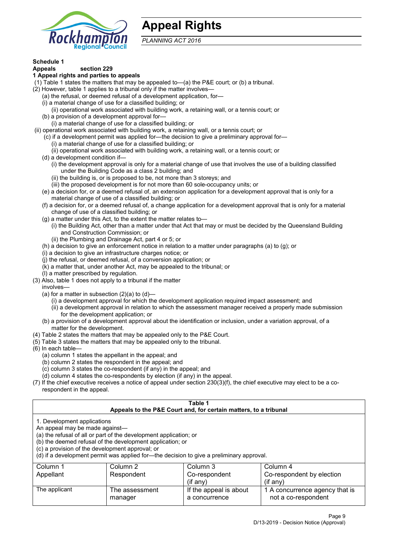

## **Appeal Rights**

*PLANNING ACT 2016*

## **Schedule 1**

#### **Appeals section 229 1 Appeal rights and parties to appeals**

- (1) Table 1 states the matters that may be appealed to—(a) the P&E court; or (b) a tribunal.
- (2) However, table 1 applies to a tribunal only if the matter involves—
	- (a) the refusal, or deemed refusal of a development application, for—
	- (i) a material change of use for a classified building; or
	- (ii) operational work associated with building work, a retaining wall, or a tennis court; or
	- (b) a provision of a development approval for—
	- (i) a material change of use for a classified building; or
- (ii) operational work associated with building work, a retaining wall, or a tennis court; or
	- (c) if a development permit was applied for—the decision to give a preliminary approval for—
		- (i) a material change of use for a classified building; or
	- (ii) operational work associated with building work, a retaining wall, or a tennis court; or
	- (d) a development condition if—
		- (i) the development approval is only for a material change of use that involves the use of a building classified under the Building Code as a class 2 building; and
		- (ii) the building is, or is proposed to be, not more than 3 storeys; and
		- (iii) the proposed development is for not more than 60 sole-occupancy units; or
	- (e) a decision for, or a deemed refusal of, an extension application for a development approval that is only for a material change of use of a classified building; or
	- (f) a decision for, or a deemed refusal of, a change application for a development approval that is only for a material change of use of a classified building; or
	- (g) a matter under this Act, to the extent the matter relates to—
		- (i) the Building Act, other than a matter under that Act that may or must be decided by the Queensland Building and Construction Commission; or
		- (ii) the Plumbing and Drainage Act, part 4 or 5; or
	- (h) a decision to give an enforcement notice in relation to a matter under paragraphs (a) to (g); or
	- (i) a decision to give an infrastructure charges notice; or
	- (j) the refusal, or deemed refusal, of a conversion application; or
	- (k) a matter that, under another Act, may be appealed to the tribunal; or
	- (l) a matter prescribed by regulation.
- (3) Also, table 1 does not apply to a tribunal if the matter
	- involves—
	- (a) for a matter in subsection  $(2)(a)$  to  $(d)$ 
		- (i) a development approval for which the development application required impact assessment; and
		- (ii) a development approval in relation to which the assessment manager received a properly made submission for the development application; or
	- (b) a provision of a development approval about the identification or inclusion, under a variation approval, of a matter for the development.
- (4) Table 2 states the matters that may be appealed only to the P&E Court.
- (5) Table 3 states the matters that may be appealed only to the tribunal.
- (6) In each table—
	- (a) column 1 states the appellant in the appeal; and
	- (b) column 2 states the respondent in the appeal; and
	- (c) column 3 states the co-respondent (if any) in the appeal; and
	- (d) column 4 states the co-respondents by election (if any) in the appeal.
- (7) If the chief executive receives a notice of appeal under section 230(3)(f), the chief executive may elect to be a corespondent in the appeal.

| Table 1                                                                                                                                                                                                                                                                                                                                        |                           |                                                                  |                                                       |  |
|------------------------------------------------------------------------------------------------------------------------------------------------------------------------------------------------------------------------------------------------------------------------------------------------------------------------------------------------|---------------------------|------------------------------------------------------------------|-------------------------------------------------------|--|
|                                                                                                                                                                                                                                                                                                                                                |                           | Appeals to the P&E Court and, for certain matters, to a tribunal |                                                       |  |
| 1. Development applications<br>An appeal may be made against-<br>(a) the refusal of all or part of the development application; or<br>(b) the deemed refusal of the development application; or<br>(c) a provision of the development approval; or<br>(d) if a development permit was applied for-the decision to give a preliminary approval. |                           |                                                                  |                                                       |  |
| Column 1                                                                                                                                                                                                                                                                                                                                       | Column 2                  | Column 3                                                         | Column 4                                              |  |
| Appellant                                                                                                                                                                                                                                                                                                                                      | Respondent                | Co-respondent                                                    | Co-respondent by election                             |  |
| $(if$ any)<br>$(if$ any)                                                                                                                                                                                                                                                                                                                       |                           |                                                                  |                                                       |  |
| The applicant                                                                                                                                                                                                                                                                                                                                  | The assessment<br>manager | If the appeal is about<br>a concurrence                          | 1 A concurrence agency that is<br>not a co-respondent |  |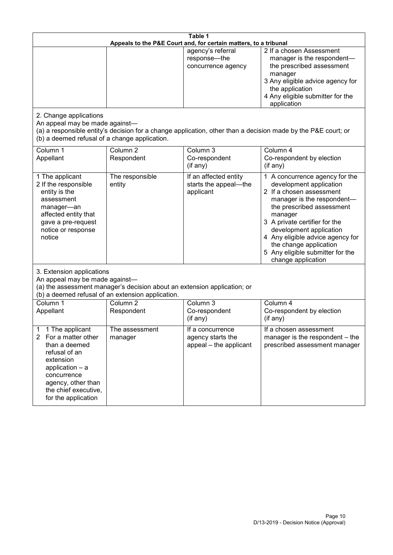| Table 1<br>Appeals to the P&E Court and, for certain matters, to a tribunal                                                                                                                                      |                                   |                                                                 |                                                                                                                                                                                                                                                                                                                                                 |  |
|------------------------------------------------------------------------------------------------------------------------------------------------------------------------------------------------------------------|-----------------------------------|-----------------------------------------------------------------|-------------------------------------------------------------------------------------------------------------------------------------------------------------------------------------------------------------------------------------------------------------------------------------------------------------------------------------------------|--|
|                                                                                                                                                                                                                  |                                   | agency's referral<br>response-the<br>concurrence agency         | 2 If a chosen Assessment<br>manager is the respondent-<br>the prescribed assessment<br>manager<br>3 Any eligible advice agency for<br>the application<br>4 Any eligible submitter for the<br>application                                                                                                                                        |  |
| 2. Change applications<br>An appeal may be made against-<br>(b) a deemed refusal of a change application.                                                                                                        |                                   |                                                                 | (a) a responsible entity's decision for a change application, other than a decision made by the P&E court; or                                                                                                                                                                                                                                   |  |
| Column 1<br>Appellant                                                                                                                                                                                            | Column <sub>2</sub><br>Respondent | Column 3<br>Co-respondent<br>(if any)                           | Column 4<br>Co-respondent by election<br>(if any)                                                                                                                                                                                                                                                                                               |  |
| 1 The applicant<br>2 If the responsible<br>entity is the<br>assessment<br>manager-an<br>affected entity that<br>gave a pre-request<br>notice or response<br>notice                                               | The responsible<br>entity         | If an affected entity<br>starts the appeal-the<br>applicant     | 1 A concurrence agency for the<br>development application<br>2 If a chosen assessment<br>manager is the respondent-<br>the prescribed assessment<br>manager<br>3 A private certifier for the<br>development application<br>4 Any eligible advice agency for<br>the change application<br>5 Any eligible submitter for the<br>change application |  |
| 3. Extension applications<br>An appeal may be made against-<br>(a) the assessment manager's decision about an extension application; or<br>(b) a deemed refusal of an extension application.                     |                                   |                                                                 |                                                                                                                                                                                                                                                                                                                                                 |  |
| Column 1<br>Appellant                                                                                                                                                                                            | Column <sub>2</sub><br>Respondent | Column 3<br>Co-respondent<br>(if any)                           | Column 4<br>Co-respondent by election<br>(if any)                                                                                                                                                                                                                                                                                               |  |
| 1 The applicant<br>1<br>For a matter other<br>$\mathbf{2}$<br>than a deemed<br>refusal of an<br>extension<br>application - a<br>concurrence<br>agency, other than<br>the chief executive,<br>for the application | The assessment<br>manager         | If a concurrence<br>agency starts the<br>appeal - the applicant | If a chosen assessment<br>manager is the respondent – the<br>prescribed assessment manager                                                                                                                                                                                                                                                      |  |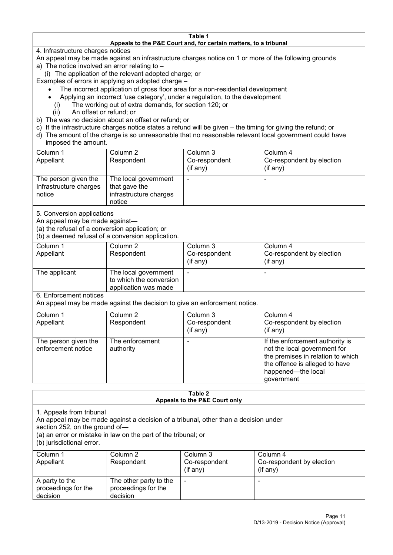#### **Table 1 Appeals to the P&E Court and, for certain matters, to a tribunal**

4. Infrastructure charges notices

- An appeal may be made against an infrastructure charges notice on 1 or more of the following grounds
- a) The notice involved an error relating to
	- (i) The application of the relevant adopted charge; or
- Examples of errors in applying an adopted charge
	- The incorrect application of gross floor area for a non-residential development
	- Applying an incorrect 'use category', under a regulation, to the development
	- (i) The working out of extra demands, for section 120; or
	- (ii) An offset or refund; or
- b) The was no decision about an offset or refund; or
- c) If the infrastructure charges notice states a refund will be given the timing for giving the refund; or
- d) The amount of the charge is so unreasonable that no reasonable relevant local government could have
- imposed the amount.

| Column 1                                                 | Column 2                                                                  | Column 3      | Column 4                  |
|----------------------------------------------------------|---------------------------------------------------------------------------|---------------|---------------------------|
| Appellant                                                | Respondent                                                                | Co-respondent | Co-respondent by election |
|                                                          |                                                                           | (if any)      | (if any)                  |
| The person given the<br>Infrastructure charges<br>notice | The local government<br>that gave the<br>infrastructure charges<br>notice | -             | $\overline{\phantom{a}}$  |

5. Conversion applications

An appeal may be made against—

(a) the refusal of a conversion application; or

(b) a deemed refusal of a conversion application.

| Column 1<br>Appellant | Column 2<br>Respondent                                                  | Column 3<br>Co-respondent<br>(if any) | Column 4<br>Co-respondent by election<br>$($ if any $)$ |
|-----------------------|-------------------------------------------------------------------------|---------------------------------------|---------------------------------------------------------|
| The applicant         | The local government<br>to which the conversion<br>application was made | $\overline{\phantom{a}}$              | -                                                       |

6. Enforcement notices

An appeal may be made against the decision to give an enforcement notice.

| Column 1                                   | Column 2                     | Column 3      | Column 4                                                                                                                                                                   |
|--------------------------------------------|------------------------------|---------------|----------------------------------------------------------------------------------------------------------------------------------------------------------------------------|
| Appellant                                  | Respondent                   | Co-respondent | Co-respondent by election                                                                                                                                                  |
|                                            |                              | (if any)      | (if any)                                                                                                                                                                   |
| The person given the<br>enforcement notice | The enforcement<br>authority |               | If the enforcement authority is<br>not the local government for<br>the premises in relation to which<br>the offence is alleged to have<br>happened-the local<br>government |

#### **Table 2 Appeals to the P&E Court only**

1. Appeals from tribunal

An appeal may be made against a decision of a tribunal, other than a decision under

section 252, on the ground of—

(a) an error or mistake in law on the part of the tribunal; or

(b) jurisdictional error.

| Column 1<br>Appellant                             | Column 2<br>Respondent                                    | Column 3<br>Co-respondent<br>$($ if any $)$ | Column 4<br>Co-respondent by election<br>$($ if any $)$ |
|---------------------------------------------------|-----------------------------------------------------------|---------------------------------------------|---------------------------------------------------------|
| A party to the<br>proceedings for the<br>decision | The other party to the<br>proceedings for the<br>decision | -                                           |                                                         |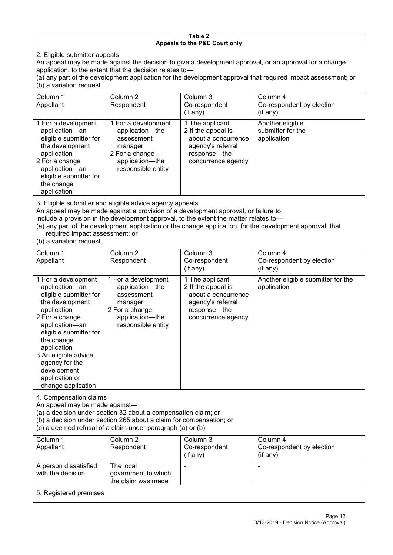#### **Table 2 Appeals to the P&E Court only**

2. Eligible submitter appeals

An appeal may be made against the decision to give a development approval, or an approval for a change application, to the extent that the decision relates to—

(a) any part of the development application for the development approval that required impact assessment; or (b) a variation request.

| Column 1<br>Appellant                                                                                                                                                                                                                                                                                                                                                                  | Column 2<br>Respondent                                                                                                     | Column 3<br>Co-respondent<br>$($ if any $)$                                                                             | Column 4<br>Co-respondent by election<br>(if any)    |  |
|----------------------------------------------------------------------------------------------------------------------------------------------------------------------------------------------------------------------------------------------------------------------------------------------------------------------------------------------------------------------------------------|----------------------------------------------------------------------------------------------------------------------------|-------------------------------------------------------------------------------------------------------------------------|------------------------------------------------------|--|
| 1 For a development<br>application-an<br>eligible submitter for<br>the development<br>application<br>2 For a change<br>application-an<br>eligible submitter for<br>the change<br>application                                                                                                                                                                                           | 1 For a development<br>application-the<br>assessment<br>manager<br>2 For a change<br>application-the<br>responsible entity | 1 The applicant<br>2 If the appeal is<br>about a concurrence<br>agency's referral<br>response-the<br>concurrence agency | Another eligible<br>submitter for the<br>application |  |
| 3. Eligible submitter and eligible advice agency appeals<br>An appeal may be made against a provision of a development approval, or failure to<br>include a provision in the development approval, to the extent the matter relates to-<br>(a) any part of the development application or the change application, for the development approval, that<br>required impact assessment; or |                                                                                                                            |                                                                                                                         |                                                      |  |

(b) a variation request.

| Column 1<br>Appellant                                                                                                                                                                                                                                                                         | Column 2<br>Respondent                                                                                                     | Column 3<br>Co-respondent<br>$($ if any $)$                                                                             | Column 4<br>Co-respondent by election<br>(if any) |  |
|-----------------------------------------------------------------------------------------------------------------------------------------------------------------------------------------------------------------------------------------------------------------------------------------------|----------------------------------------------------------------------------------------------------------------------------|-------------------------------------------------------------------------------------------------------------------------|---------------------------------------------------|--|
| 1 For a development<br>application-an<br>eligible submitter for<br>the development<br>application<br>2 For a change<br>application-an<br>eligible submitter for<br>the change<br>application<br>3 An eligible advice<br>agency for the<br>development<br>application or<br>change application | 1 For a development<br>application-the<br>assessment<br>manager<br>2 For a change<br>application-the<br>responsible entity | 1 The applicant<br>2 If the appeal is<br>about a concurrence<br>agency's referral<br>response-the<br>concurrence agency | Another eligible submitter for the<br>application |  |
| 4. Compensation claims<br>An appeal may be made against-<br>(a) a decision under section 32 about a compensation claim; or<br>(b) a decision under section 265 about a claim for compensation; or<br>(c) a deemed refusal of a claim under paragraph (a) or (b).                              |                                                                                                                            |                                                                                                                         |                                                   |  |
| Column 1<br>Appellant                                                                                                                                                                                                                                                                         | Column <sub>2</sub><br>Respondent                                                                                          | Column 3<br>Co-respondent<br>(if any)                                                                                   | Column 4<br>Co-respondent by election<br>(if any) |  |
| A person dissatisfied<br>with the decision                                                                                                                                                                                                                                                    | The local<br>government to which                                                                                           |                                                                                                                         |                                                   |  |

the claim was made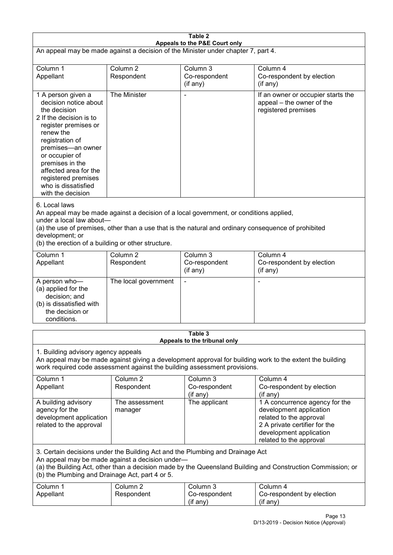| Table 2<br>Appeals to the P&E Court only                                                                                                                                                                                                                                                                             |                                   |                                       |                                                                                                                                                                             |  |
|----------------------------------------------------------------------------------------------------------------------------------------------------------------------------------------------------------------------------------------------------------------------------------------------------------------------|-----------------------------------|---------------------------------------|-----------------------------------------------------------------------------------------------------------------------------------------------------------------------------|--|
| An appeal may be made against a decision of the Minister under chapter 7, part 4.                                                                                                                                                                                                                                    |                                   |                                       |                                                                                                                                                                             |  |
| Column 1<br>Appellant                                                                                                                                                                                                                                                                                                | Column <sub>2</sub><br>Respondent | Column 3<br>Co-respondent<br>(if any) | Column 4<br>Co-respondent by election<br>(if any)                                                                                                                           |  |
| 1 A person given a<br>decision notice about<br>the decision<br>2 If the decision is to<br>register premises or<br>renew the<br>registration of<br>premises-an owner<br>or occupier of<br>premises in the<br>affected area for the<br>registered premises<br>who is dissatisfied<br>with the decision                 | The Minister                      |                                       | If an owner or occupier starts the<br>appeal – the owner of the<br>registered premises                                                                                      |  |
| 6. Local laws<br>An appeal may be made against a decision of a local government, or conditions applied,<br>under a local law about-<br>(a) the use of premises, other than a use that is the natural and ordinary consequence of prohibited<br>development; or<br>(b) the erection of a building or other structure. |                                   |                                       |                                                                                                                                                                             |  |
| Column 1<br>Appellant                                                                                                                                                                                                                                                                                                | Column <sub>2</sub><br>Respondent | Column 3<br>Co-respondent<br>(if any) | Column 4<br>Co-respondent by election<br>(if any)                                                                                                                           |  |
| A person who-<br>(a) applied for the<br>decision; and<br>(b) is dissatisfied with<br>the decision or<br>conditions.                                                                                                                                                                                                  | The local government              |                                       |                                                                                                                                                                             |  |
| Table 3<br>Appeals to the tribunal only                                                                                                                                                                                                                                                                              |                                   |                                       |                                                                                                                                                                             |  |
| 1. Building advisory agency appeals<br>An appeal may be made against giving a development approval for building work to the extent the building<br>work required code assessment against the building assessment provisions.                                                                                         |                                   |                                       |                                                                                                                                                                             |  |
| Column 1<br>Appellant                                                                                                                                                                                                                                                                                                | Column <sub>2</sub><br>Respondent | Column 3<br>Co-respondent<br>(if any) | Column 4<br>Co-respondent by election<br>(if any)                                                                                                                           |  |
| A building advisory<br>agency for the<br>development application<br>related to the approval                                                                                                                                                                                                                          | The assessment<br>manager         | The applicant                         | 1 A concurrence agency for the<br>development application<br>related to the approval<br>2 A private certifier for the<br>development application<br>related to the approval |  |
| 3. Certain decisions under the Building Act and the Plumbing and Drainage Act<br>An appeal may be made against a decision under-<br>(a) the Building Act, other than a decision made by the Queensland Building and Construction Commission; or<br>(b) the Plumbing and Drainage Act, part 4 or 5.                   |                                   |                                       |                                                                                                                                                                             |  |
| Column 1<br>Appellant                                                                                                                                                                                                                                                                                                | Column <sub>2</sub><br>Respondent | Column 3<br>Co-respondent<br>(if any) | Column 4<br>Co-respondent by election<br>(if any)                                                                                                                           |  |